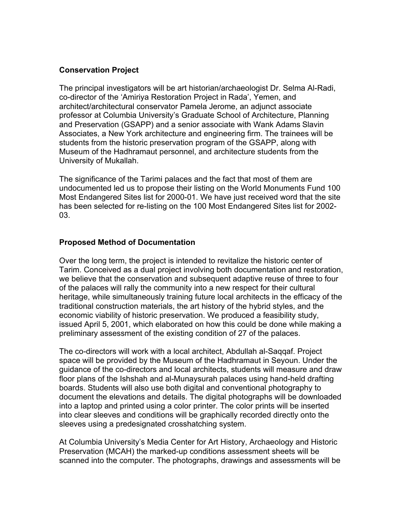## **Conservation Project**

The principal investigators will be art historian/archaeologist Dr. Selma Al-Radi, co-director of the 'Amiriya Restoration Project in Rada', Yemen, and architect/architectural conservator Pamela Jerome, an adjunct associate professor at Columbia University's Graduate School of Architecture, Planning and Preservation (GSAPP) and a senior associate with Wank Adams Slavin Associates, a New York architecture and engineering firm. The trainees will be students from the historic preservation program of the GSAPP, along with Museum of the Hadhramaut personnel, and architecture students from the University of Mukallah.

The significance of the Tarimi palaces and the fact that most of them are undocumented led us to propose their listing on the World Monuments Fund 100 Most Endangered Sites list for 2000-01. We have just received word that the site has been selected for re-listing on the 100 Most Endangered Sites list for 2002- 03.

## **Proposed Method of Documentation**

Over the long term, the project is intended to revitalize the historic center of Tarim. Conceived as a dual project involving both documentation and restoration, we believe that the conservation and subsequent adaptive reuse of three to four of the palaces will rally the community into a new respect for their cultural heritage, while simultaneously training future local architects in the efficacy of the traditional construction materials, the art history of the hybrid styles, and the economic viability of historic preservation. We produced a feasibility study, issued April 5, 2001, which elaborated on how this could be done while making a preliminary assessment of the existing condition of 27 of the palaces.

The co-directors will work with a local architect, Abdullah al-Saqqaf. Project space will be provided by the Museum of the Hadhramaut in Seyoun. Under the guidance of the co-directors and local architects, students will measure and draw floor plans of the Ishshah and al-Munaysurah palaces using hand-held drafting boards. Students will also use both digital and conventional photography to document the elevations and details. The digital photographs will be downloaded into a laptop and printed using a color printer. The color prints will be inserted into clear sleeves and conditions will be graphically recorded directly onto the sleeves using a predesignated crosshatching system.

At Columbia University's Media Center for Art History, Archaeology and Historic Preservation (MCAH) the marked-up conditions assessment sheets will be scanned into the computer. The photographs, drawings and assessments will be